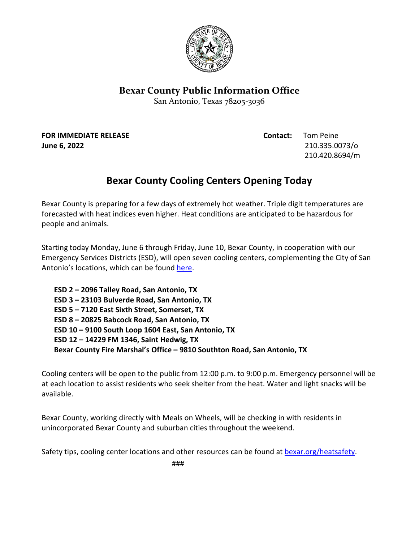

## **Bexar County Public Information Office**

San Antonio, Texas 78205-3036

**FOR IMMEDIATE RELEASE Contact:** Tom Peine

**June 6, 2022** 210.335.0073/o 210.420.8694/m

## **Bexar County Cooling Centers Opening Today**

Bexar County is preparing for a few days of extremely hot weather. Triple digit temperatures are forecasted with heat indices even higher. Heat conditions are anticipated to be hazardous for people and animals.

Starting today Monday, June 6 through Friday, June 10, Bexar County, in cooperation with our Emergency Services Districts (ESD), will open seven cooling centers, complementing the City of San Antonio's locations, which can be found [here.](https://www.saoemprepare.com/BeInformed/NaturalDisasters/Heat/BeatTheHeat#243493068-staying-cool)

**ESD 2 – 2096 Talley Road, San Antonio, TX ESD 3 – 23103 Bulverde Road, San Antonio, TX ESD 5 – 7120 East Sixth Street, Somerset, TX ESD 8 – 20825 Babcock Road, San Antonio, TX ESD 10 – 9100 South Loop 1604 East, San Antonio, TX ESD 12 – 14229 FM 1346, Saint Hedwig, TX Bexar County Fire Marshal's Office – 9810 Southton Road, San Antonio, TX** 

Cooling centers will be open to the public from 12:00 p.m. to 9:00 p.m. Emergency personnel will be at each location to assist residents who seek shelter from the heat. Water and light snacks will be available.

Bexar County, working directly with Meals on Wheels, will be checking in with residents in unincorporated Bexar County and suburban cities throughout the weekend.

Safety tips, cooling center locations and other resources can be found at **bexar.org/heatsafety**.